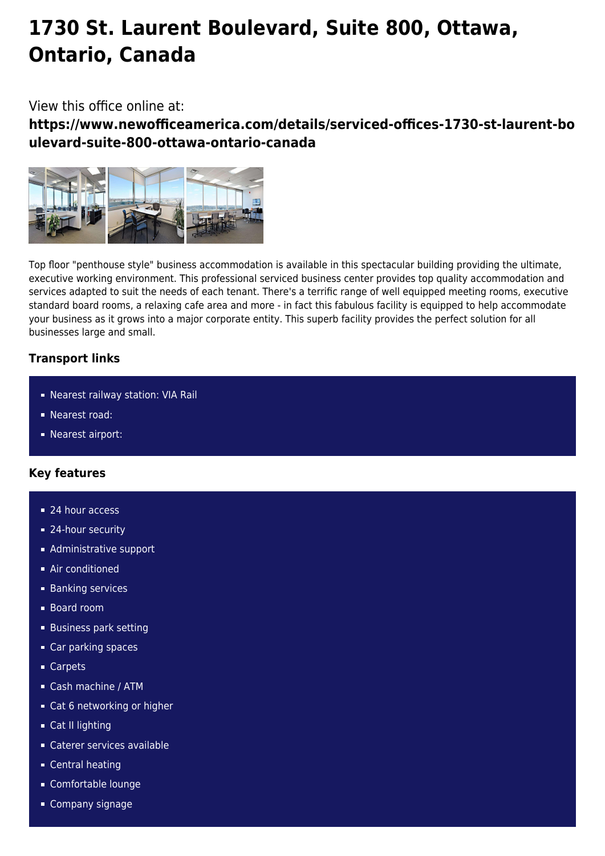# **1730 St. Laurent Boulevard, Suite 800, Ottawa, Ontario, Canada**

## View this office online at:

**https://www.newofficeamerica.com/details/serviced-offices-1730-st-laurent-bo ulevard-suite-800-ottawa-ontario-canada**



Top floor "penthouse style" business accommodation is available in this spectacular building providing the ultimate, executive working environment. This professional serviced business center provides top quality accommodation and services adapted to suit the needs of each tenant. There's a terrific range of well equipped meeting rooms, executive standard board rooms, a relaxing cafe area and more - in fact this fabulous facility is equipped to help accommodate your business as it grows into a major corporate entity. This superb facility provides the perfect solution for all businesses large and small.

### **Transport links**

- Nearest railway station: VIA Rail
- Nearest road:
- **Nearest airport:**

### **Key features**

- 24 hour access
- 24-hour security
- **Administrative support**
- **Air conditioned**
- **Banking services**
- Board room
- **Business park setting**
- Car parking spaces
- Carpets
- Cash machine / ATM
- Cat 6 networking or higher
- Cat II lighting
- Caterer services available
- Central heating
- Comfortable lounge
- **Company signage**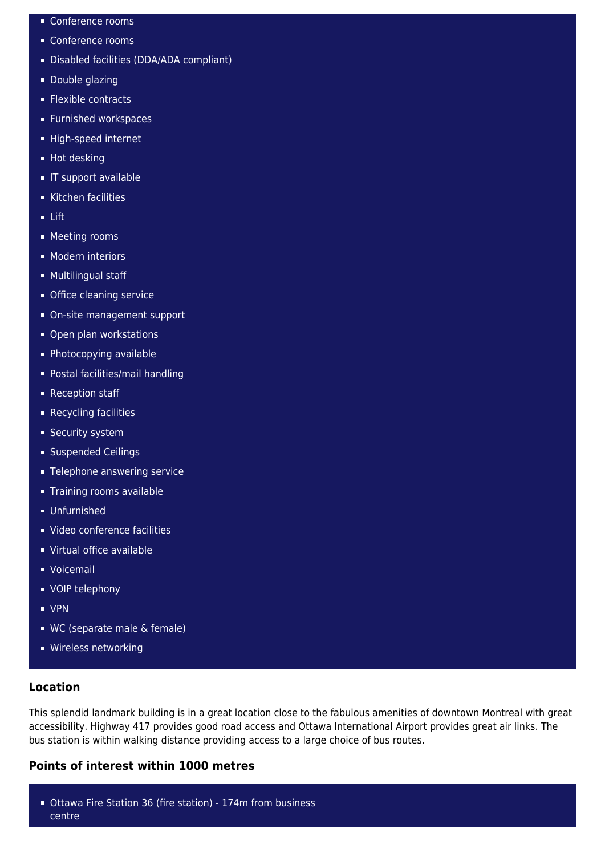- Conference rooms
- Conference rooms
- Disabled facilities (DDA/ADA compliant)
- **Double glazing**
- **Flexible contracts**
- **Furnished workspaces**
- High-speed internet
- **Hot desking**
- **IF support available**
- Kitchen facilities
- Lift
- **Meeting rooms**
- **Modern interiors**
- **Multilingual staff**
- **Office cleaning service**
- On-site management support
- **Open plan workstations**
- **Photocopying available**
- Postal facilities/mail handling
- Reception staff
- **Recycling facilities**
- **Security system**
- **Suspended Ceilings**
- **Telephone answering service**
- **Training rooms available**
- Unfurnished
- Video conference facilities
- Virtual office available
- Voicemail
- **vOIP** telephony
- VPN
- WC (separate male & female)
- **Wireless networking**

#### **Location**

This splendid landmark building is in a great location close to the fabulous amenities of downtown Montreal with great accessibility. Highway 417 provides good road access and Ottawa International Airport provides great air links. The bus station is within walking distance providing access to a large choice of bus routes.

#### **Points of interest within 1000 metres**

Ottawa Fire Station 36 (fire station) - 174m from business centre